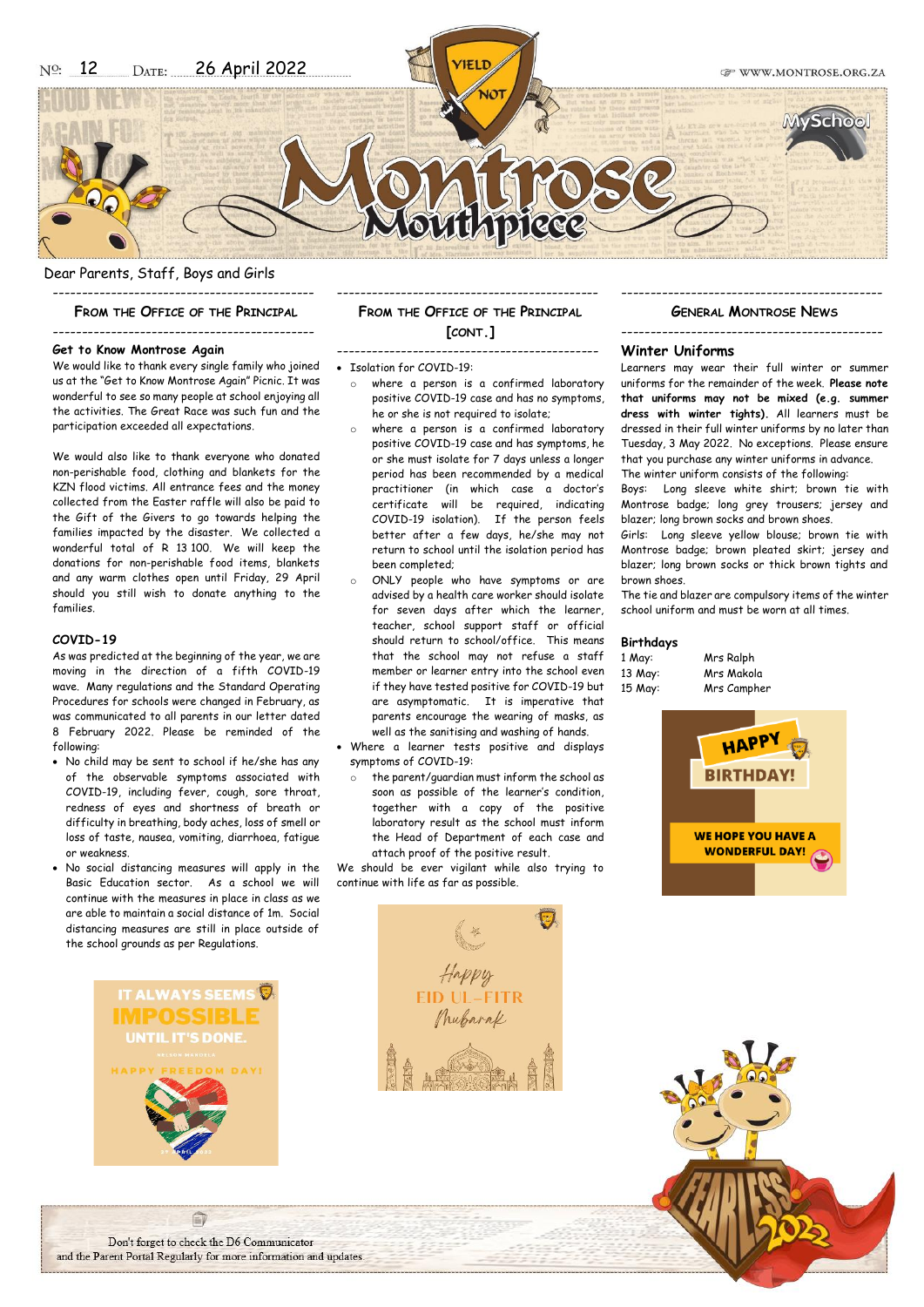Dear Parents, Staff, Boys and Girls

--------------------------------------------- **FROM THE OFFICE OF THE PRINCIPAL**

# ---------------------------------------------

**Get to Know Montrose Again** We would like to thank every single family who joined us at the "Get to Know Montrose Again" Picnic. It was wonderful to see so many people at school enjoying all the activities. The Great Race was such fun and the participation exceeded all expectations.

We would also like to thank everyone who donated non-perishable food, clothing and blankets for the KZN flood victims. All entrance fees and the money collected from the Easter raffle will also be paid to the Gift of the Givers to go towards helping the families impacted by the disaster. We collected a wonderful total of R 13 100. We will keep the donations for non-perishable food items, blankets and any warm clothes open until Friday, 29 April should you still wish to donate anything to the families.

### **COVID-19**

As was predicted at the beginning of the year, we are moving in the direction of a fifth COVID-19 wave. Many regulations and the Standard Operating Procedures for schools were changed in February, as was communicated to all parents in our letter dated 8 February 2022. Please be reminded of the following:

- No child may be sent to school if he/she has any of the observable symptoms associated with COVID-19, including fever, cough, sore throat, redness of eyes and shortness of breath or difficulty in breathing, body aches, loss of smell or loss of taste, nausea, vomiting, diarrhoea, fatigue or weakness.
- No social distancing measures will apply in the Basic Education sector. As a school we will continue with the measures in place in class as we are able to maintain a social distance of 1m. Social distancing measures are still in place outside of the school grounds as per Regulations.

UNTIL IT'S DONE

# **FROM THE OFFICE OF THE PRINCIPAL [CONT.]**

---------------------------------------------

# ---------------------------------------------

### • Isolation for COVID-19:

- where a person is a confirmed laboratory positive COVID-19 case and has no symptoms, he or she is not required to isolate;
- o where a person is a confirmed laboratory positive COVID-19 case and has symptoms, he or she must isolate for 7 days unless a longer period has been recommended by a medical practitioner (in which case a doctor's certificate will be required, indicating COVID-19 isolation). If the person feels better after a few days, he/she may not return to school until the isolation period has been completed;
- o ONLY people who have symptoms or are advised by a health care worker should isolate for seven days after which the learner, teacher, school support staff or official should return to school/office. This means that the school may not refuse a staff member or learner entry into the school even if they have tested positive for COVID-19 but are asymptomatic. It is imperative that parents encourage the wearing of masks, as well as the sanitising and washing of hands.
- Where a learner tests positive and displays symptoms of COVID-19:
	- o the parent/guardian must inform the school as soon as possible of the learner's condition, together with a copy of the positive laboratory result as the school must inform the Head of Department of each case and attach proof of the positive result.

We should be ever vigilant while also trying to continue with life as far as possible.

# --------------------------------------------- **GENERAL MONTROSE NEWS**

---------------------------------------------

# **Winter Uniforms**

Learners may wear their full winter or summer uniforms for the remainder of the week. **Please note that uniforms may not be mixed (e.g. summer dress with winter tights).** All learners must be dressed in their full winter uniforms by no later than Tuesday, 3 May 2022. No exceptions. Please ensure that you purchase any winter uniforms in advance. The winter uniform consists of the following:

Boys: Long sleeve white shirt; brown tie with Montrose badge; long grey trousers; jersey and blazer; long brown socks and brown shoes.

Girls: Long sleeve yellow blouse; brown tie with Montrose badge; brown pleated skirt; jersey and blazer; long brown socks or thick brown tights and brown shoes.

The tie and blazer are compulsory items of the winter school uniform and must be worn at all times.

#### **Birthdays**

| 1 May:  | Mrs Ralph   |
|---------|-------------|
| 13 May: | Mrs Makola  |
| 15 May: | Mrs Campher |





Don't forget to check the D6 Communicator and the Parent Portal Regularly for more information and updates.

自